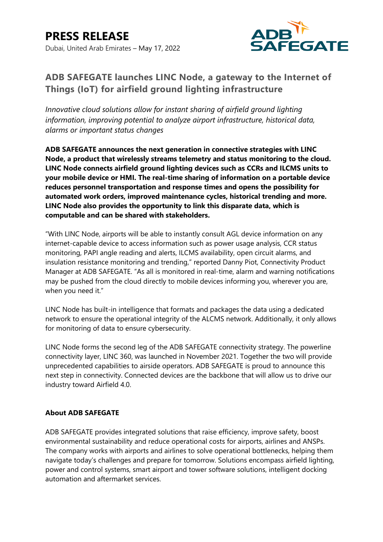

## **ADB SAFEGATE launches LINC Node, a gateway to the Internet of Things (IoT) for airfield ground lighting infrastructure**

*Innovative cloud solutions allow for instant sharing of airfield ground lighting information, improving potential to analyze airport infrastructure, historical data, alarms or important status changes* 

**ADB SAFEGATE announces the next generation in connective strategies with LINC Node, a product that wirelessly streams telemetry and status monitoring to the cloud. LINC Node connects airfield ground lighting devices such as CCRs and ILCMS units to your mobile device or HMI. The real-time sharing of information on a portable device reduces personnel transportation and response times and opens the possibility for automated work orders, improved maintenance cycles, historical trending and more. LINC Node also provides the opportunity to link this disparate data, which is computable and can be shared with stakeholders.** 

"With LINC Node, airports will be able to instantly consult AGL device information on any internet-capable device to access information such as power usage analysis, CCR status monitoring, PAPI angle reading and alerts, ILCMS availability, open circuit alarms, and insulation resistance monitoring and trending," reported Danny Piot, Connectivity Product Manager at ADB SAFEGATE. "As all is monitored in real-time, alarm and warning notifications may be pushed from the cloud directly to mobile devices informing you, wherever you are, when you need it."

LINC Node has built-in intelligence that formats and packages the data using a dedicated network to ensure the operational integrity of the ALCMS network. Additionally, it only allows for monitoring of data to ensure cybersecurity.

LINC Node forms the second leg of the ADB SAFEGATE connectivity strategy. The powerline connectivity layer, LINC 360, was launched in November 2021. Together the two will provide unprecedented capabilities to airside operators. ADB SAFEGATE is proud to announce this next step in connectivity. Connected devices are the backbone that will allow us to drive our industry toward Airfield 4.0.

## **About ADB SAFEGATE**

ADB SAFEGATE provides integrated solutions that raise efficiency, improve safety, boost environmental sustainability and reduce operational costs for airports, airlines and ANSPs. The company works with airports and airlines to solve operational bottlenecks, helping them navigate today's challenges and prepare for tomorrow. Solutions encompass airfield lighting, power and control systems, smart airport and tower software solutions, intelligent docking automation and aftermarket services.